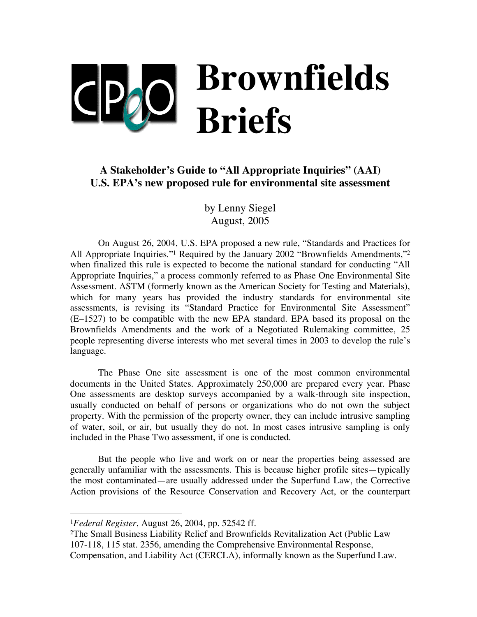# **Brownfields Briefs**

## **A Stakeholder's Guide to "All Appropriate Inquiries" (AAI) U.S. EPA's new proposed rule for environmental site assessment**

by Lenny Siegel August, 2005

On August 26, 2004, U.S. EPA proposed a new rule, "Standards and Practices for All Appropriate Inquiries."1 Required by the January 2002 "Brownfields Amendments,"2 when finalized this rule is expected to become the national standard for conducting "All Appropriate Inquiries," a process commonly referred to as Phase One Environmental Site Assessment. ASTM (formerly known as the American Society for Testing and Materials), which for many years has provided the industry standards for environmental site assessments, is revising its "Standard Practice for Environmental Site Assessment" (E–1527) to be compatible with the new EPA standard. EPA based its proposal on the Brownfields Amendments and the work of a Negotiated Rulemaking committee, 25 people representing diverse interests who met several times in 2003 to develop the rule's language.

The Phase One site assessment is one of the most common environmental documents in the United States. Approximately 250,000 are prepared every year. Phase One assessments are desktop surveys accompanied by a walk-through site inspection, usually conducted on behalf of persons or organizations who do not own the subject property. With the permission of the property owner, they can include intrusive sampling of water, soil, or air, but usually they do not. In most cases intrusive sampling is only included in the Phase Two assessment, if one is conducted.

But the people who live and work on or near the properties being assessed are generally unfamiliar with the assessments. This is because higher profile sites—typically the most contaminated—are usually addressed under the Superfund Law, the Corrective Action provisions of the Resource Conservation and Recovery Act, or the counterpart

 <sup>1</sup>*Federal Register*, August 26, 2004, pp. 52542 ff.

<sup>2</sup>The Small Business Liability Relief and Brownfields Revitalization Act (Public Law 107-118, 115 stat. 2356, amending the Comprehensive Environmental Response, Compensation, and Liability Act (CERCLA), informally known as the Superfund Law.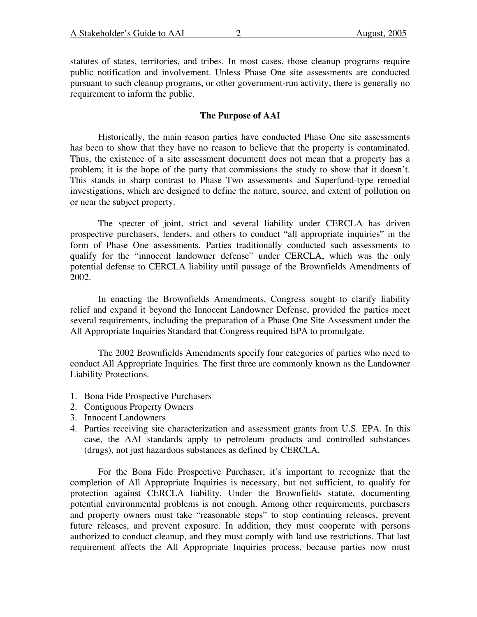statutes of states, territories, and tribes. In most cases, those cleanup programs require public notification and involvement. Unless Phase One site assessments are conducted pursuant to such cleanup programs, or other government-run activity, there is generally no requirement to inform the public.

### **The Purpose of AAI**

Historically, the main reason parties have conducted Phase One site assessments has been to show that they have no reason to believe that the property is contaminated. Thus, the existence of a site assessment document does not mean that a property has a problem; it is the hope of the party that commissions the study to show that it doesn't. This stands in sharp contrast to Phase Two assessments and Superfund-type remedial investigations, which are designed to define the nature, source, and extent of pollution on or near the subject property.

The specter of joint, strict and several liability under CERCLA has driven prospective purchasers, lenders. and others to conduct "all appropriate inquiries" in the form of Phase One assessments. Parties traditionally conducted such assessments to qualify for the "innocent landowner defense" under CERCLA, which was the only potential defense to CERCLA liability until passage of the Brownfields Amendments of 2002.

In enacting the Brownfields Amendments, Congress sought to clarify liability relief and expand it beyond the Innocent Landowner Defense, provided the parties meet several requirements, including the preparation of a Phase One Site Assessment under the All Appropriate Inquiries Standard that Congress required EPA to promulgate.

The 2002 Brownfields Amendments specify four categories of parties who need to conduct All Appropriate Inquiries. The first three are commonly known as the Landowner Liability Protections.

- 1. Bona Fide Prospective Purchasers
- 2. Contiguous Property Owners
- 3. Innocent Landowners
- 4. Parties receiving site characterization and assessment grants from U.S. EPA. In this case, the AAI standards apply to petroleum products and controlled substances (drugs), not just hazardous substances as defined by CERCLA.

For the Bona Fide Prospective Purchaser, it's important to recognize that the completion of All Appropriate Inquiries is necessary, but not sufficient, to qualify for protection against CERCLA liability. Under the Brownfields statute, documenting potential environmental problems is not enough. Among other requirements, purchasers and property owners must take "reasonable steps" to stop continuing releases, prevent future releases, and prevent exposure. In addition, they must cooperate with persons authorized to conduct cleanup, and they must comply with land use restrictions. That last requirement affects the All Appropriate Inquiries process, because parties now must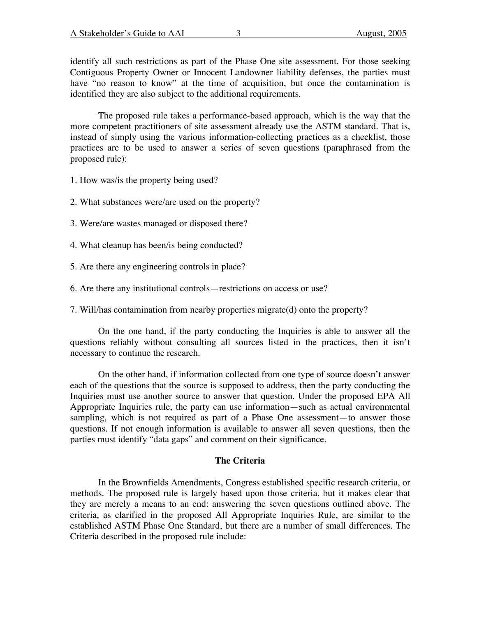identify all such restrictions as part of the Phase One site assessment. For those seeking Contiguous Property Owner or Innocent Landowner liability defenses, the parties must have "no reason to know" at the time of acquisition, but once the contamination is identified they are also subject to the additional requirements.

The proposed rule takes a performance-based approach, which is the way that the more competent practitioners of site assessment already use the ASTM standard. That is, instead of simply using the various information-collecting practices as a checklist, those practices are to be used to answer a series of seven questions (paraphrased from the proposed rule):

1. How was/is the property being used?

2. What substances were/are used on the property?

3. Were/are wastes managed or disposed there?

4. What cleanup has been/is being conducted?

5. Are there any engineering controls in place?

6. Are there any institutional controls—restrictions on access or use?

7. Will/has contamination from nearby properties migrate(d) onto the property?

On the one hand, if the party conducting the Inquiries is able to answer all the questions reliably without consulting all sources listed in the practices, then it isn't necessary to continue the research.

On the other hand, if information collected from one type of source doesn't answer each of the questions that the source is supposed to address, then the party conducting the Inquiries must use another source to answer that question. Under the proposed EPA All Appropriate Inquiries rule, the party can use information—such as actual environmental sampling, which is not required as part of a Phase One assessment—to answer those questions. If not enough information is available to answer all seven questions, then the parties must identify "data gaps" and comment on their significance.

#### **The Criteria**

In the Brownfields Amendments, Congress established specific research criteria, or methods. The proposed rule is largely based upon those criteria, but it makes clear that they are merely a means to an end: answering the seven questions outlined above. The criteria, as clarified in the proposed All Appropriate Inquiries Rule, are similar to the established ASTM Phase One Standard, but there are a number of small differences. The Criteria described in the proposed rule include: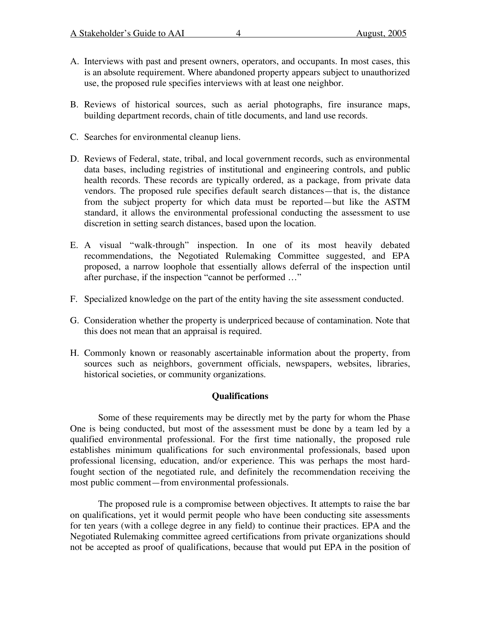- A. Interviews with past and present owners, operators, and occupants. In most cases, this is an absolute requirement. Where abandoned property appears subject to unauthorized use, the proposed rule specifies interviews with at least one neighbor.
- B. Reviews of historical sources, such as aerial photographs, fire insurance maps, building department records, chain of title documents, and land use records.
- C. Searches for environmental cleanup liens.
- D. Reviews of Federal, state, tribal, and local government records, such as environmental data bases, including registries of institutional and engineering controls, and public health records. These records are typically ordered, as a package, from private data vendors. The proposed rule specifies default search distances—that is, the distance from the subject property for which data must be reported—but like the ASTM standard, it allows the environmental professional conducting the assessment to use discretion in setting search distances, based upon the location.
- E. A visual "walk-through" inspection. In one of its most heavily debated recommendations, the Negotiated Rulemaking Committee suggested, and EPA proposed, a narrow loophole that essentially allows deferral of the inspection until after purchase, if the inspection "cannot be performed …"
- F. Specialized knowledge on the part of the entity having the site assessment conducted.
- G. Consideration whether the property is underpriced because of contamination. Note that this does not mean that an appraisal is required.
- H. Commonly known or reasonably ascertainable information about the property, from sources such as neighbors, government officials, newspapers, websites, libraries, historical societies, or community organizations.

#### **Qualifications**

Some of these requirements may be directly met by the party for whom the Phase One is being conducted, but most of the assessment must be done by a team led by a qualified environmental professional. For the first time nationally, the proposed rule establishes minimum qualifications for such environmental professionals, based upon professional licensing, education, and/or experience. This was perhaps the most hardfought section of the negotiated rule, and definitely the recommendation receiving the most public comment—from environmental professionals.

The proposed rule is a compromise between objectives. It attempts to raise the bar on qualifications, yet it would permit people who have been conducting site assessments for ten years (with a college degree in any field) to continue their practices. EPA and the Negotiated Rulemaking committee agreed certifications from private organizations should not be accepted as proof of qualifications, because that would put EPA in the position of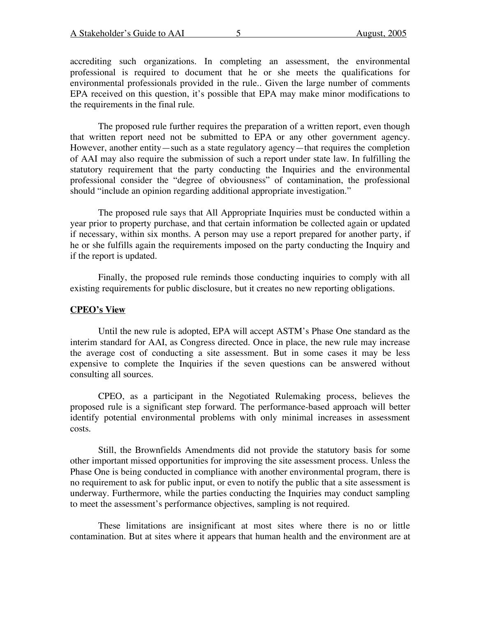accrediting such organizations. In completing an assessment, the environmental professional is required to document that he or she meets the qualifications for environmental professionals provided in the rule.. Given the large number of comments EPA received on this question, it's possible that EPA may make minor modifications to the requirements in the final rule.

The proposed rule further requires the preparation of a written report, even though that written report need not be submitted to EPA or any other government agency. However, another entity—such as a state regulatory agency—that requires the completion of AAI may also require the submission of such a report under state law. In fulfilling the statutory requirement that the party conducting the Inquiries and the environmental professional consider the "degree of obviousness" of contamination, the professional should "include an opinion regarding additional appropriate investigation."

The proposed rule says that All Appropriate Inquiries must be conducted within a year prior to property purchase, and that certain information be collected again or updated if necessary, within six months. A person may use a report prepared for another party, if he or she fulfills again the requirements imposed on the party conducting the Inquiry and if the report is updated.

Finally, the proposed rule reminds those conducting inquiries to comply with all existing requirements for public disclosure, but it creates no new reporting obligations.

#### **CPEO's View**

Until the new rule is adopted, EPA will accept ASTM's Phase One standard as the interim standard for AAI, as Congress directed. Once in place, the new rule may increase the average cost of conducting a site assessment. But in some cases it may be less expensive to complete the Inquiries if the seven questions can be answered without consulting all sources.

CPEO, as a participant in the Negotiated Rulemaking process, believes the proposed rule is a significant step forward. The performance-based approach will better identify potential environmental problems with only minimal increases in assessment costs.

Still, the Brownfields Amendments did not provide the statutory basis for some other important missed opportunities for improving the site assessment process. Unless the Phase One is being conducted in compliance with another environmental program, there is no requirement to ask for public input, or even to notify the public that a site assessment is underway. Furthermore, while the parties conducting the Inquiries may conduct sampling to meet the assessment's performance objectives, sampling is not required.

These limitations are insignificant at most sites where there is no or little contamination. But at sites where it appears that human health and the environment are at